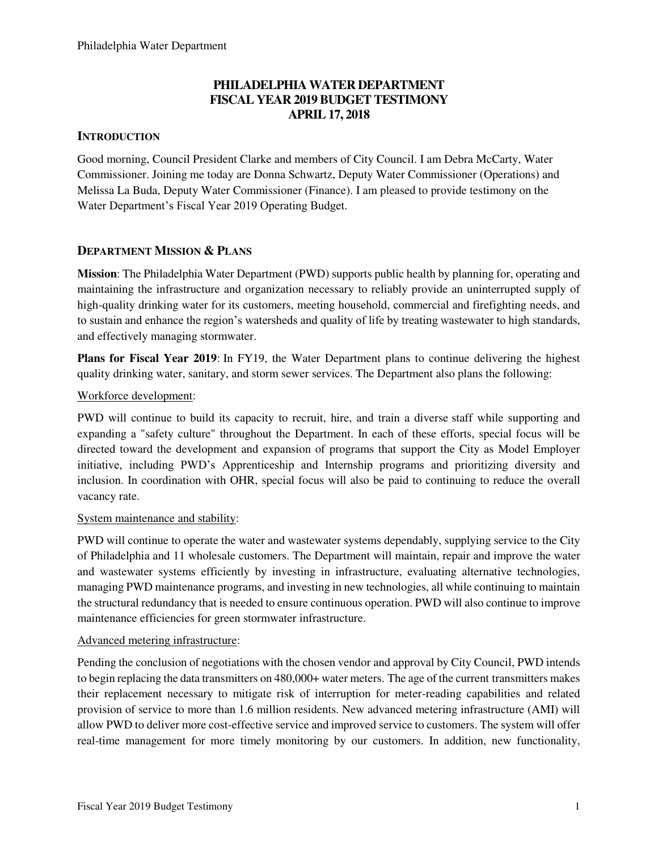# **PHILADELPHIA WATER DEPARTMENT FISCAL YEAR 2019 BUDGET TESTIMONY APRIL 17, 2018**

# **INTRODUCTION**

Good morning, Council President Clarke and members of City Council. I am Debra McCarty, Water Commissioner. Joining me today are Donna Schwartz, Deputy Water Commissioner (Operations) and Melissa La Buda, Deputy Water Commissioner (Finance). I am pleased to provide testimony on the Water Department's Fiscal Year 2019 Operating Budget.

## **DEPARTMENT MISSION & PLANS**

**Mission**: The Philadelphia Water Department (PWD) supports public health by planning for, operating and maintaining the infrastructure and organization necessary to reliably provide an uninterrupted supply of high-quality drinking water for its customers, meeting household, commercial and firefighting needs, and to sustain and enhance the region's watersheds and quality of life by treating wastewater to high standards, and effectively managing stormwater.

**Plans for Fiscal Year 2019**: In FY19, the Water Department plans to continue delivering the highest quality drinking water, sanitary, and storm sewer services. The Department also plans the following:

## Workforce development:

PWD will continue to build its capacity to recruit, hire, and train a diverse staff while supporting and expanding a "safety culture" throughout the Department. In each of these efforts, special focus will be directed toward the development and expansion of programs that support the City as Model Employer initiative, including PWD's Apprenticeship and Internship programs and prioritizing diversity and inclusion. In coordination with OHR, special focus will also be paid to continuing to reduce the overall vacancy rate.

### System maintenance and stability:

PWD will continue to operate the water and wastewater systems dependably, supplying service to the City of Philadelphia and 11 wholesale customers. The Department will maintain, repair and improve the water and wastewater systems efficiently by investing in infrastructure, evaluating alternative technologies, managing PWD maintenance programs, and investing in new technologies, all while continuing to maintain the structural redundancy that is needed to ensure continuous operation. PWD will also continue to improve maintenance efficiencies for green stormwater infrastructure.

### Advanced metering infrastructure:

Pending the conclusion of negotiations with the chosen vendor and approval by City Council, PWD intends to begin replacing the data transmitters on 480,000+ water meters. The age of the current transmitters makes their replacement necessary to mitigate risk of interruption for meter-reading capabilities and related provision of service to more than 1.6 million residents. New advanced metering infrastructure (AMI) will allow PWD to deliver more cost-effective service and improved service to customers. The system will offer real-time management for more timely monitoring by our customers. In addition, new functionality,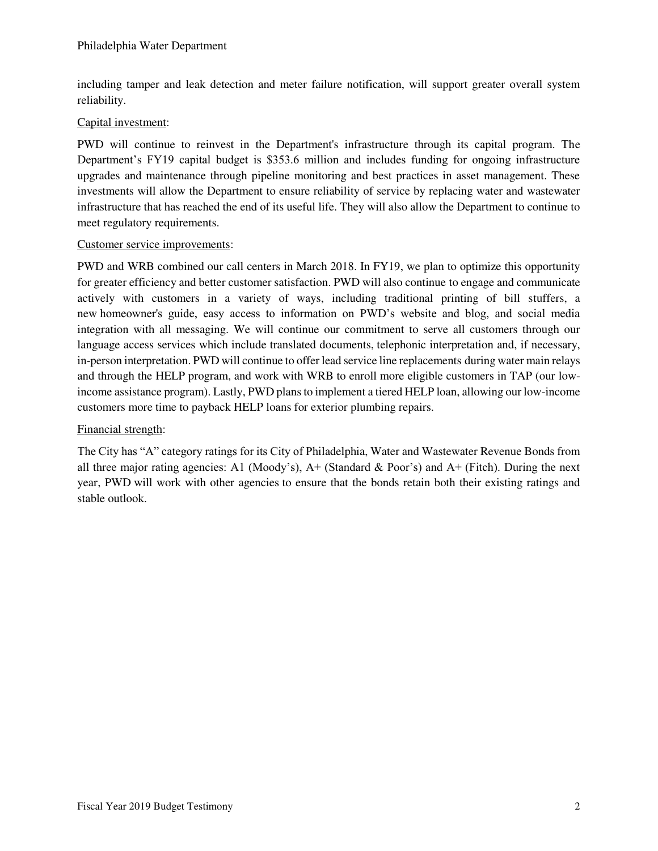including tamper and leak detection and meter failure notification, will support greater overall system reliability.

## Capital investment:

PWD will continue to reinvest in the Department's infrastructure through its capital program. The Department's FY19 capital budget is \$353.6 million and includes funding for ongoing infrastructure upgrades and maintenance through pipeline monitoring and best practices in asset management. These investments will allow the Department to ensure reliability of service by replacing water and wastewater infrastructure that has reached the end of its useful life. They will also allow the Department to continue to meet regulatory requirements.

### Customer service improvements:

PWD and WRB combined our call centers in March 2018. In FY19, we plan to optimize this opportunity for greater efficiency and better customer satisfaction. PWD will also continue to engage and communicate actively with customers in a variety of ways, including traditional printing of bill stuffers, a new homeowner's guide, easy access to information on PWD's website and blog, and social media integration with all messaging. We will continue our commitment to serve all customers through our language access services which include translated documents, telephonic interpretation and, if necessary, in-person interpretation. PWD will continue to offer lead service line replacements during water main relays and through the HELP program, and work with WRB to enroll more eligible customers in TAP (our lowincome assistance program). Lastly, PWD plans to implement a tiered HELP loan, allowing our low-income customers more time to payback HELP loans for exterior plumbing repairs.

# Financial strength:

The City has "A" category ratings for its City of Philadelphia, Water and Wastewater Revenue Bonds from all three major rating agencies: A1 (Moody's),  $A+$  (Standard & Poor's) and  $A+$  (Fitch). During the next year, PWD will work with other agencies to ensure that the bonds retain both their existing ratings and stable outlook.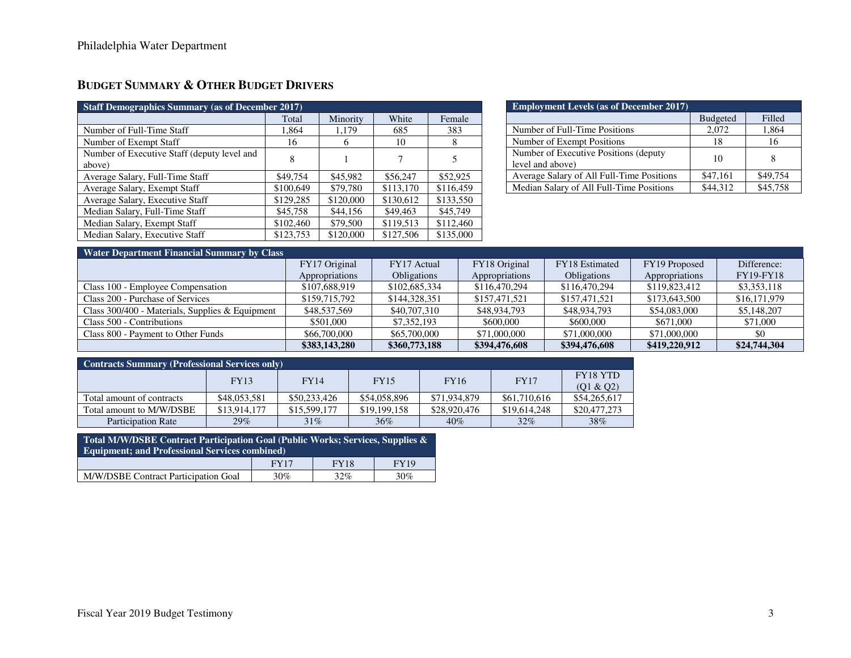# **BUDGET SUMMARY & OTHER BUDGET DRIVERS**

| <b>Staff Demographics Summary (as of December 2017)</b> |           |           |           |           |  |  |  |
|---------------------------------------------------------|-----------|-----------|-----------|-----------|--|--|--|
|                                                         | Total     | Minority  | White     | Female    |  |  |  |
| Number of Full-Time Staff                               | 1,864     | 1,179     | 685       | 383       |  |  |  |
| Number of Exempt Staff                                  | 16        | 6         | 10        | 8         |  |  |  |
| Number of Executive Staff (deputy level and<br>above)   | 8         |           |           |           |  |  |  |
| Average Salary, Full-Time Staff                         | \$49,754  | \$45,982  | \$56,247  | \$52,925  |  |  |  |
| Average Salary, Exempt Staff                            | \$100,649 | \$79,780  | \$113,170 | \$116,459 |  |  |  |
| Average Salary, Executive Staff                         | \$129,285 | \$120,000 | \$130,612 | \$133,550 |  |  |  |
| Median Salary, Full-Time Staff                          | \$45,758  | \$44,156  | \$49,463  | \$45,749  |  |  |  |
| Median Salary, Exempt Staff                             | \$102,460 | \$79,500  | \$119,513 | \$112,460 |  |  |  |
| Median Salary, Executive Staff                          | \$123,753 | \$120,000 | \$127,506 | \$135,000 |  |  |  |

| <b>Employment Levels (as of December 2017)</b> |                 |          |  |  |  |  |
|------------------------------------------------|-----------------|----------|--|--|--|--|
|                                                | <b>Budgeted</b> | Filled   |  |  |  |  |
| Number of Full-Time Positions                  | 2,072           | 1,864    |  |  |  |  |
| Number of Exempt Positions                     | 18              | 16       |  |  |  |  |
| Number of Executive Positions (deputy)         | 10              |          |  |  |  |  |
| level and above)                               |                 |          |  |  |  |  |
| Average Salary of All Full-Time Positions      | \$47,161        | \$49,754 |  |  |  |  |
| Median Salary of All Full-Time Positions       | \$44,312        | \$45,758 |  |  |  |  |

## **Water Department Financial Summary by Class**

| <b>Traite Department Financial Summary DY Class</b> |                |                    |                                 |                    |                |                  |
|-----------------------------------------------------|----------------|--------------------|---------------------------------|--------------------|----------------|------------------|
|                                                     | FY17 Original  | FY17 Actual        | FY18 Original<br>FY18 Estimated |                    | FY19 Proposed  | Difference:      |
|                                                     | Appropriations | <b>Obligations</b> | Appropriations                  | <b>Obligations</b> | Appropriations | <b>FY19-FY18</b> |
| Class 100 - Employee Compensation                   | \$107,688,919  | \$102,685,334      | \$116,470,294                   | \$116,470,294      | \$119,823,412  | \$3,353,118      |
| Class 200 - Purchase of Services                    | \$159,715,792  | \$144,328,351      | \$157,471,521                   | \$157,471,521      | \$173,643,500  | \$16,171,979     |
| Class 300/400 - Materials, Supplies & Equipment     | \$48,537,569   | \$40,707,310       | \$48,934,793                    | \$48,934,793       | \$54,083,000   | \$5,148,207      |
| Class 500 - Contributions                           | \$501,000      | \$7,352,193        | \$600,000                       | \$600,000          | \$671,000      | \$71,000         |
| Class 800 - Payment to Other Funds                  | \$66,700,000   | \$65,700,000       | \$71,000,000                    | \$71,000,000       | \$71,000,000   | \$0              |
|                                                     | \$383,143,280  | \$360,773,188      | \$394,476,608                   | \$394,476,608      | \$419,220,912  | \$24,744,304     |

| <b>Contracts Summary (Professional Services only)</b> |              |              |              |              |              |                              |  |  |
|-------------------------------------------------------|--------------|--------------|--------------|--------------|--------------|------------------------------|--|--|
|                                                       | <b>FY13</b>  | <b>FY14</b>  | <b>FY15</b>  | <b>FY16</b>  | <b>FY17</b>  | <b>FY18 YTD</b><br>(01 & 02) |  |  |
| Total amount of contracts                             | \$48,053,581 | \$50,233,426 | \$54,058,896 | \$71,934,879 | \$61,710,616 | \$54,265,617                 |  |  |
| Total amount to M/W/DSBE                              | \$13,914,177 | \$15,599,177 | \$19,199,158 | \$28,920,476 | \$19,614,248 | \$20,477,273                 |  |  |
| Participation Rate                                    | 29%          | $31\%$       | $36\%$       | $40\%$       | $32\%$       | 38%                          |  |  |

**Total M/W/DSBE Contract Participation Goal (Public Works; Services, Supplies & Equipment; and Professional Services combined)**  FY17 FY18 FY19 M/W/DSBE Contract Participation Goal 30% 32% 30%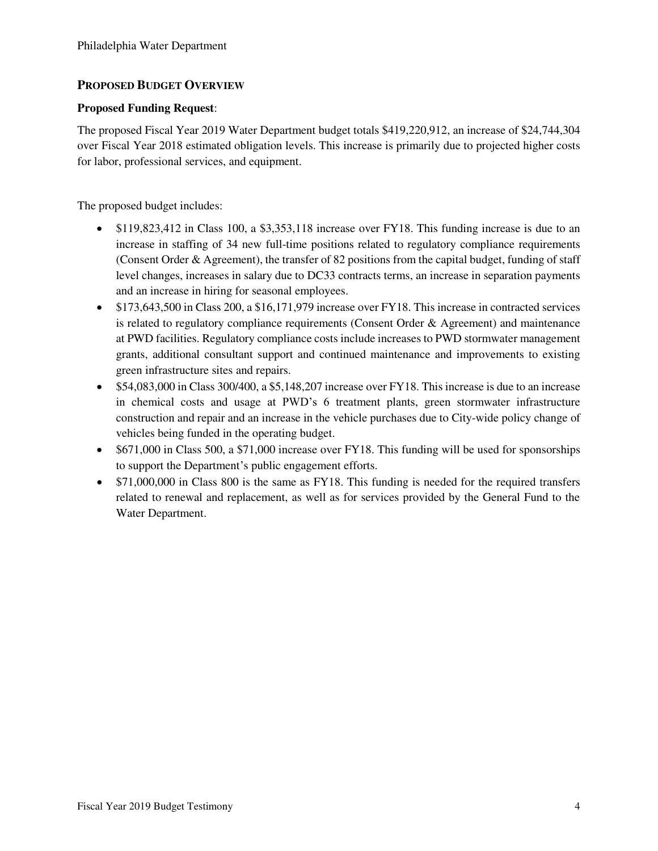# **PROPOSED BUDGET OVERVIEW**

## **Proposed Funding Request**:

The proposed Fiscal Year 2019 Water Department budget totals \$419,220,912, an increase of \$24,744,304 over Fiscal Year 2018 estimated obligation levels. This increase is primarily due to projected higher costs for labor, professional services, and equipment.

The proposed budget includes:

- \$119,823,412 in Class 100, a \$3,353,118 increase over FY18. This funding increase is due to an increase in staffing of 34 new full-time positions related to regulatory compliance requirements (Consent Order & Agreement), the transfer of 82 positions from the capital budget, funding of staff level changes, increases in salary due to DC33 contracts terms, an increase in separation payments and an increase in hiring for seasonal employees.
- \$173,643,500 in Class 200, a \$16,171,979 increase over FY18. This increase in contracted services is related to regulatory compliance requirements (Consent Order & Agreement) and maintenance at PWD facilities. Regulatory compliance costs include increases to PWD stormwater management grants, additional consultant support and continued maintenance and improvements to existing green infrastructure sites and repairs.
- \$54,083,000 in Class 300/400, a \$5,148,207 increase over FY18. This increase is due to an increase in chemical costs and usage at PWD's 6 treatment plants, green stormwater infrastructure construction and repair and an increase in the vehicle purchases due to City-wide policy change of vehicles being funded in the operating budget.
- \$671,000 in Class 500, a \$71,000 increase over FY18. This funding will be used for sponsorships to support the Department's public engagement efforts.
- \$71,000,000 in Class 800 is the same as FY18. This funding is needed for the required transfers related to renewal and replacement, as well as for services provided by the General Fund to the Water Department.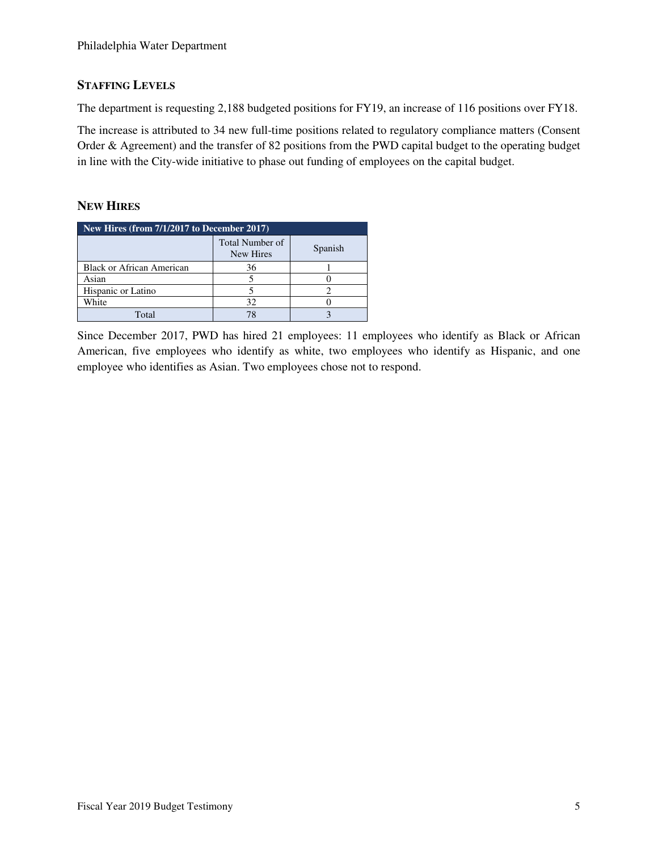# **STAFFING LEVELS**

The department is requesting 2,188 budgeted positions for FY19, an increase of 116 positions over FY18.

The increase is attributed to 34 new full-time positions related to regulatory compliance matters (Consent Order & Agreement) and the transfer of 82 positions from the PWD capital budget to the operating budget in line with the City-wide initiative to phase out funding of employees on the capital budget.

# **NEW HIRES**

| New Hires (from 7/1/2017 to December 2017) |                              |         |  |  |  |
|--------------------------------------------|------------------------------|---------|--|--|--|
|                                            | Total Number of<br>New Hires | Spanish |  |  |  |
| <b>Black or African American</b>           | 36                           |         |  |  |  |
| Asian                                      |                              |         |  |  |  |
| Hispanic or Latino                         |                              |         |  |  |  |
| White                                      | 32                           |         |  |  |  |
| Total                                      |                              |         |  |  |  |

Since December 2017, PWD has hired 21 employees: 11 employees who identify as Black or African American, five employees who identify as white, two employees who identify as Hispanic, and one employee who identifies as Asian. Two employees chose not to respond.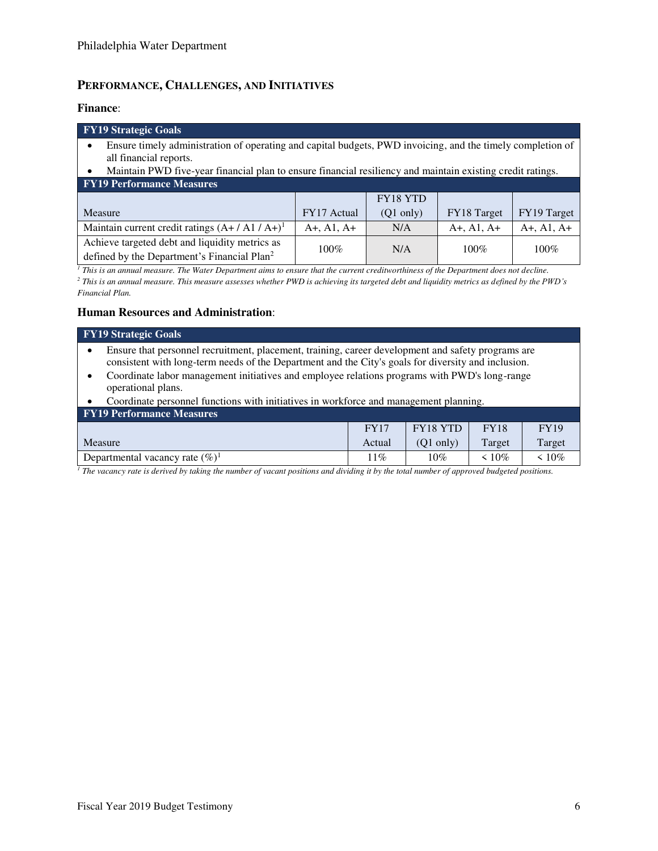# **PERFORMANCE, CHALLENGES, AND INITIATIVES**

#### **Finance**:

| <b>FY19 Strategic Goals</b>                                                                                |
|------------------------------------------------------------------------------------------------------------|
| Ensure timely administration of operating and capital budgets, PWD invoicing, and the timely completion of |
| all financial reports.                                                                                     |
| Maintain PWD five-year financial plan to ensure financial resiliency and maintain existing credit ratings. |
| <b>FY19 Performance Measures</b>                                                                           |

| T TID TUITUI MAMUU MUASULUS                                                                               |             |                     |              |              |
|-----------------------------------------------------------------------------------------------------------|-------------|---------------------|--------------|--------------|
|                                                                                                           |             | FY18 YTD            |              |              |
| Measure                                                                                                   | FY17 Actual | $(O1 \text{ only})$ | FY18 Target  | FY19 Target  |
| Maintain current credit ratings $(A+/A1/A+)$ <sup>1</sup>                                                 | A+, A1, A+  | N/A                 | $A+, A1, A+$ | $A+, A1, A+$ |
| Achieve targeted debt and liquidity metrics as<br>defined by the Department's Financial Plan <sup>2</sup> | $100\%$     | N/A                 | $100\%$      | $100\%$      |

<sup>1</sup> This is an annual measure. The Water Department aims to ensure that the current creditworthiness of the Department does not decline. *2 This is an annual measure. This measure assesses whether PWD is achieving its targeted debt and liquidity metrics as defined by the PWD's Financial Plan.*

### **Human Resources and Administration**:

|  | <b>FY19 Strategic Goals</b> |  |
|--|-----------------------------|--|
|--|-----------------------------|--|

- Ensure that personnel recruitment, placement, training, career development and safety programs are consistent with long-term needs of the Department and the City's goals for diversity and inclusion.
- Coordinate labor management initiatives and employee relations programs with PWD's long-range operational plans.
- Coordinate personnel functions with initiatives in workforce and management planning.

| <b>FY19 Performance Measures</b>   |             |                     |             |             |
|------------------------------------|-------------|---------------------|-------------|-------------|
|                                    | <b>FY17</b> | FY18 YTD            | <b>FY18</b> | <b>FY19</b> |
| Measure                            | Actual      | $(O1 \text{ only})$ | Target      | Target      |
| Departmental vacancy rate $(\%)^1$ | $11\%$      | 10%                 | 10%         | 10%         |

<sup>1</sup> The vacancy rate is derived by taking the number of vacant positions and dividing it by the total number of approved budgeted positions.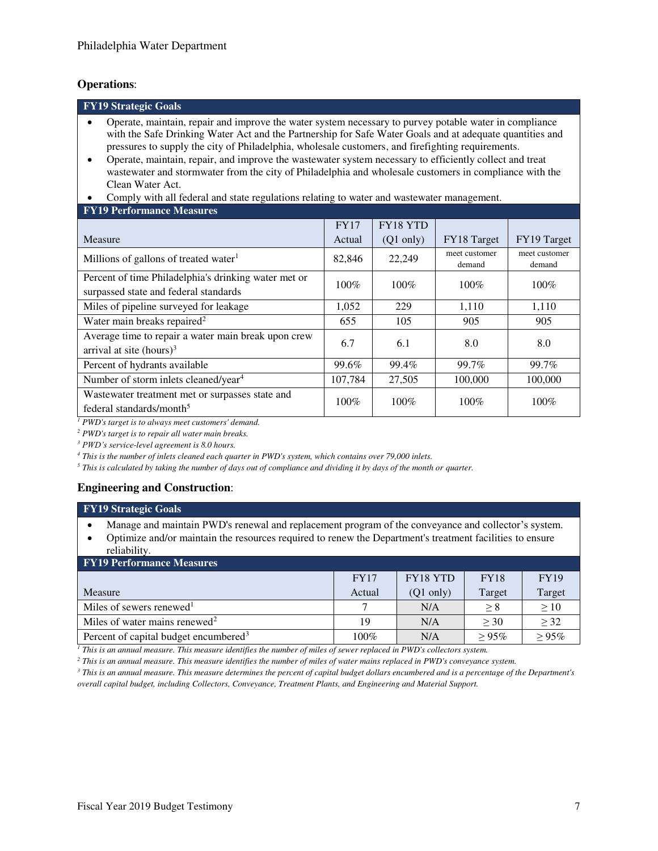### **Operations**:

| <b>FY19 Strategic Goals</b>                                                                                                                                                                                                                                                                                                                                                                                                                                                                                                                                                                                                                                                              |        |             |                         |                         |  |  |  |
|------------------------------------------------------------------------------------------------------------------------------------------------------------------------------------------------------------------------------------------------------------------------------------------------------------------------------------------------------------------------------------------------------------------------------------------------------------------------------------------------------------------------------------------------------------------------------------------------------------------------------------------------------------------------------------------|--------|-------------|-------------------------|-------------------------|--|--|--|
| Operate, maintain, repair and improve the water system necessary to purvey potable water in compliance<br>$\bullet$<br>with the Safe Drinking Water Act and the Partnership for Safe Water Goals and at adequate quantities and<br>pressures to supply the city of Philadelphia, wholesale customers, and firefighting requirements.<br>Operate, maintain, repair, and improve the wastewater system necessary to efficiently collect and treat<br>$\bullet$<br>wastewater and stormwater from the city of Philadelphia and wholesale customers in compliance with the<br>Clean Water Act.<br>Comply with all federal and state regulations relating to water and wastewater management. |        |             |                         |                         |  |  |  |
| <b>FY19 Performance Measures</b><br>FY18 YTD<br><b>FY17</b>                                                                                                                                                                                                                                                                                                                                                                                                                                                                                                                                                                                                                              |        |             |                         |                         |  |  |  |
| Measure                                                                                                                                                                                                                                                                                                                                                                                                                                                                                                                                                                                                                                                                                  | Actual | $(Q1$ only) | FY18 Target             | FY19 Target             |  |  |  |
| Millions of gallons of treated water <sup>1</sup>                                                                                                                                                                                                                                                                                                                                                                                                                                                                                                                                                                                                                                        | 82,846 | 22,249      | meet customer<br>demand | meet customer<br>demand |  |  |  |
| Percent of time Philadelphia's drinking water met or<br>surpassed state and federal standards                                                                                                                                                                                                                                                                                                                                                                                                                                                                                                                                                                                            | 100%   | $100\%$     | $100\%$                 | 100%                    |  |  |  |
| Miles of pipeline surveyed for leakage                                                                                                                                                                                                                                                                                                                                                                                                                                                                                                                                                                                                                                                   | 1,052  | 229         | 1,110                   | 1,110                   |  |  |  |
| Water main breaks repaired <sup>2</sup>                                                                                                                                                                                                                                                                                                                                                                                                                                                                                                                                                                                                                                                  | 655    | 105         | 905                     | 905                     |  |  |  |
| Average time to repair a water main break upon crew<br>6.7<br>6.1<br>8.0<br>8.0<br>arrival at site (hours) $3$                                                                                                                                                                                                                                                                                                                                                                                                                                                                                                                                                                           |        |             |                         |                         |  |  |  |
| 99.6%<br>99.4%<br>99.7%<br>99.7%<br>Percent of hydrants available                                                                                                                                                                                                                                                                                                                                                                                                                                                                                                                                                                                                                        |        |             |                         |                         |  |  |  |
| Number of storm inlets cleaned/year <sup>4</sup><br>107,784<br>27,505<br>100,000<br>100,000                                                                                                                                                                                                                                                                                                                                                                                                                                                                                                                                                                                              |        |             |                         |                         |  |  |  |
| Wastewater treatment met or surpasses state and<br>$100\%$<br>$100\%$<br>$100\%$<br>100%<br>federal standards/month <sup>5</sup>                                                                                                                                                                                                                                                                                                                                                                                                                                                                                                                                                         |        |             |                         |                         |  |  |  |
| PWD's target is to always meet customers' demand.                                                                                                                                                                                                                                                                                                                                                                                                                                                                                                                                                                                                                                        |        |             |                         |                         |  |  |  |

*2 PWD's target is to repair all water main breaks.* 

*<sup>3</sup> PWD's service-level agreement is 8.0 hours.* 

*4 This is the number of inlets cleaned each quarter in PWD's system, which contains over 79,000 inlets.* 

*5 This is calculated by taking the number of days out of compliance and dividing it by days of the month or quarter.*

# **Engineering and Construction**:

#### **FY19 Strategic Goals**

- Manage and maintain PWD's renewal and replacement program of the conveyance and collector's system.
- Optimize and/or maintain the resources required to renew the Department's treatment facilities to ensure reliability.

| <b>FY19 Performance Measures</b>                  |             |                     |             |             |
|---------------------------------------------------|-------------|---------------------|-------------|-------------|
|                                                   | <b>FY17</b> | FY18 YTD            | <b>FY18</b> | <b>FY19</b> |
| Measure                                           | Actual      | $(Q1 \text{ only})$ | Target      | Target      |
| Miles of sewers renewed <sup>1</sup>              |             | N/A                 | > 8         | >10         |
| Miles of water mains renewed <sup>2</sup>         | 19          | N/A                 | > 30        | > 32        |
| Percent of capital budget encumbered <sup>3</sup> | 100%        | N/A                 | $> 95\%$    | >95%        |

*1 This is an annual measure. This measure identifies the number of miles of sewer replaced in PWD's collectors system.* 

*2 This is an annual measure. This measure identifies the number of miles of water mains replaced in PWD's conveyance system.* 

*3 This is an annual measure. This measure determines the percent of capital budget dollars encumbered and is a percentage of the Department's overall capital budget, including Collectors, Conveyance, Treatment Plants, and Engineering and Material Support.*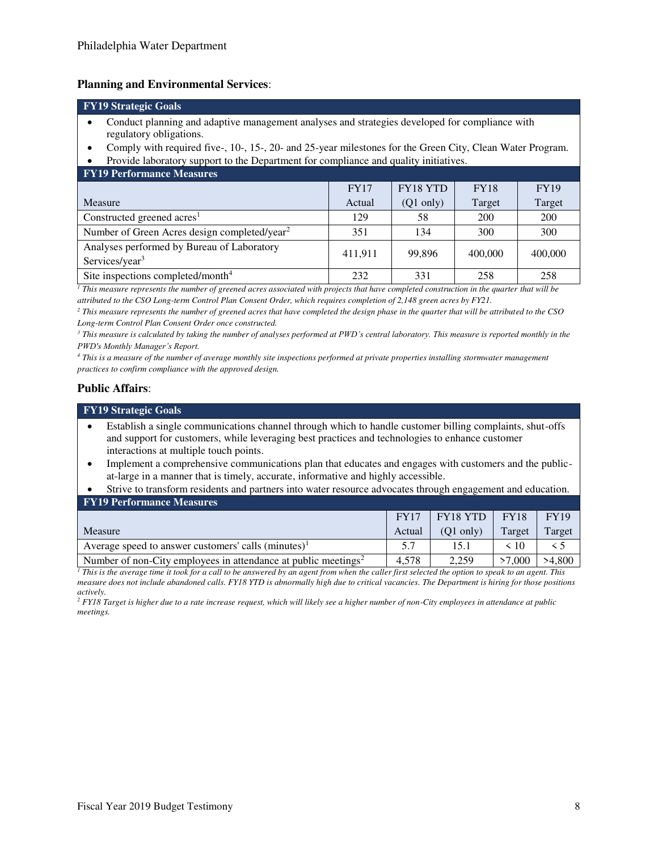#### **Planning and Environmental Services**:

## **FY19 Strategic Goals**

- Conduct planning and adaptive management analyses and strategies developed for compliance with regulatory obligations.
- Comply with required five-, 10-, 15-, 20- and 25-year milestones for the Green City, Clean Water Program.
- Provide laboratory support to the Department for compliance and quality initiatives.

| <b>FY19 Performance Measures</b>                                         |             |                     |             |             |
|--------------------------------------------------------------------------|-------------|---------------------|-------------|-------------|
|                                                                          | <b>FY17</b> | FY18 YTD            | <b>FY18</b> | <b>FY19</b> |
| Measure                                                                  | Actual      | $(Q1 \text{ only})$ | Target      | Target      |
| Constructed greened $\arcsin$                                            | 129         | 58                  | 200         | 200         |
| Number of Green Acres design completed/year <sup>2</sup>                 | 351         | 134                 | 300         | 300         |
| Analyses performed by Bureau of Laboratory<br>Services/year <sup>3</sup> | 411,911     | 99.896              | 400,000     | 400,000     |
| Site inspections completed/month <sup>4</sup>                            | 232         | 331                 | 258         | 258         |

 $<sup>1</sup>$  This measure represents the number of greened acres associated with projects that have completed construction in the quarter that will be</sup> *attributed to the CSO Long-term Control Plan Consent Order, which requires completion of 2,148 green acres by FY21.*

*2 This measure represents the number of greened acres that have completed the design phase in the quarter that will be attributed to the CSO Long-term Control Plan Consent Order once constructed.* 

*3 This measure is calculated by taking the number of analyses performed at PWD's central laboratory. This measure is reported monthly in the PWD's Monthly Manager's Report.*

*4 This is a measure of the number of average monthly site inspections performed at private properties installing stormwater management practices to confirm compliance with the approved design.*

#### **Public Affairs**:

|           | <b>FY19 Strategic Goals</b>                                                                                                                                                                                                                           |
|-----------|-------------------------------------------------------------------------------------------------------------------------------------------------------------------------------------------------------------------------------------------------------|
| $\bullet$ | Establish a single communications channel through which to handle customer billing complaints, shut-offs<br>and support for customers, while leveraging best practices and technologies to enhance customer<br>interactions at multiple touch points. |
| $\bullet$ | Implement a comprehensive communications plan that educates and engages with customers and the public-<br>at-large in a manner that is timely, accurate, informative and highly accessible.                                                           |
|           | $\alpha$ , and $\alpha$ is the state of the state of the state $\alpha$ in the state of the state of the state of the state of the state of the state of the state of the state of the state of the state of the state of the state of the            |

| Strive to transform residents and partners into water resource advocates through engagement and education. |  |  |  |
|------------------------------------------------------------------------------------------------------------|--|--|--|
| <b>FY19 Performance Measures</b>                                                                           |  |  |  |

|                                                                            | <b>FY17</b> | $ $ FY18 YTD $ $    | <b>FY18</b> | <b>FY19</b> |
|----------------------------------------------------------------------------|-------------|---------------------|-------------|-------------|
| Measure                                                                    | Actual      | $(O1 \text{ only})$ | Target      | Target      |
| Average speed to answer customers' calls $(minutes)^1$                     |             | 15.1                | < 10        |             |
| Number of non-City employees in attendance at public meetings <sup>2</sup> | 4.578       | 2.259               | .000        | >4,800      |

 $^I$  This is the average time it took for a call to be answered by an agent from when the caller first selected the option to speak to an agent. This  $\,$ *measure does not include abandoned calls. FY18 YTD is abnormally high due to critical vacancies. The Department is hiring for those positions actively.* 

*2 FY18 Target is higher due to a rate increase request, which will likely see a higher number of non-City employees in attendance at public meetings.*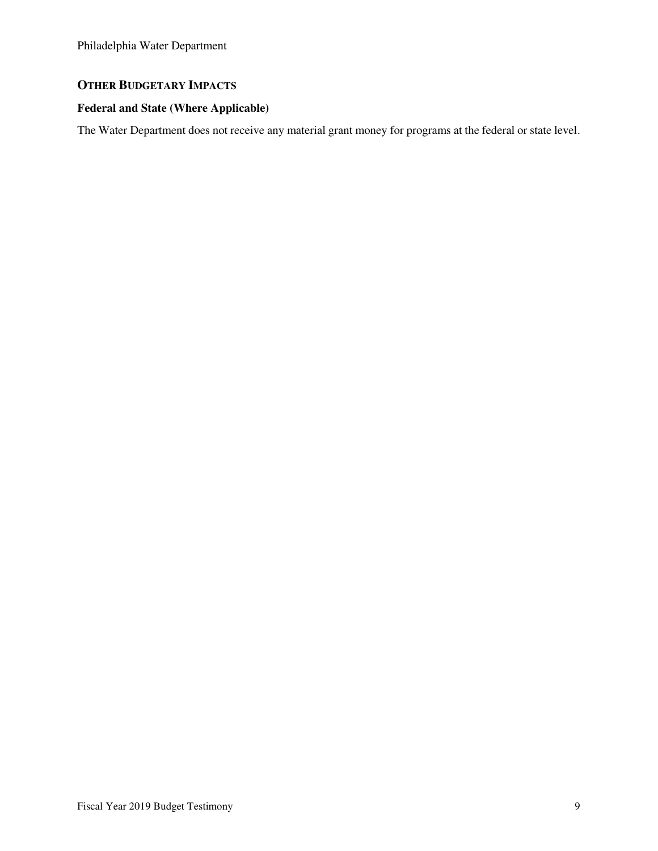# **OTHER BUDGETARY IMPACTS**

# **Federal and State (Where Applicable)**

The Water Department does not receive any material grant money for programs at the federal or state level.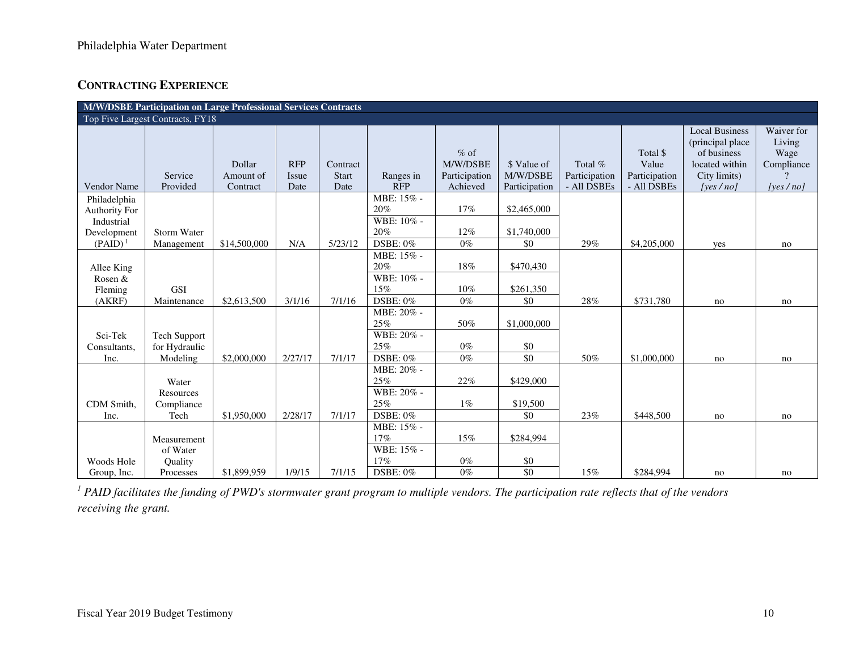# **CONTRACTING EXPERIENCE**

| M/W/DSBE Participation on Large Professional Services Contracts                 |                                                        |                                 |                             |                                  |                                                           |                                                 |                                          |                                         |                                                   |                                                                                                         |                                                        |
|---------------------------------------------------------------------------------|--------------------------------------------------------|---------------------------------|-----------------------------|----------------------------------|-----------------------------------------------------------|-------------------------------------------------|------------------------------------------|-----------------------------------------|---------------------------------------------------|---------------------------------------------------------------------------------------------------------|--------------------------------------------------------|
| Top Five Largest Contracts, FY18                                                |                                                        |                                 |                             |                                  |                                                           |                                                 |                                          |                                         |                                                   |                                                                                                         |                                                        |
| Vendor Name                                                                     | Service<br>Provided                                    | Dollar<br>Amount of<br>Contract | <b>RFP</b><br>Issue<br>Date | Contract<br><b>Start</b><br>Date | Ranges in<br><b>RFP</b>                                   | $%$ of<br>M/W/DSBE<br>Participation<br>Achieved | \$ Value of<br>M/W/DSBE<br>Participation | Total %<br>Participation<br>- All DSBEs | Total \$<br>Value<br>Participation<br>- All DSBEs | <b>Local Business</b><br>(principal place)<br>of business<br>located within<br>City limits)<br>[yes/no] | Waiver for<br>Living<br>Wage<br>Compliance<br>[yes/no] |
| Philadelphia<br><b>Authority For</b><br>Industrial<br>Development<br>$(PAID)^1$ | Storm Water<br>Management                              | \$14,500,000                    | N/A                         | 5/23/12                          | MBE: 15% -<br>20%<br>WBE: 10% -<br>20%<br><b>DSBE: 0%</b> | 17%<br>12%<br>$0\%$                             | \$2,465,000<br>\$1,740,000<br>\$0        | 29%                                     | \$4,205,000                                       | yes                                                                                                     | no                                                     |
| Allee King<br>Rosen &<br>Fleming<br>(AKRF)                                      | <b>GSI</b><br>Maintenance                              | \$2,613,500                     | 3/1/16                      | 7/1/16                           | MBE: 15% -<br>20%<br>WBE: 10% -<br>15%<br>DSBE: 0%        | 18%<br>10%<br>$0\%$                             | \$470,430<br>\$261,350<br>\$0            | 28%                                     | \$731,780                                         | no                                                                                                      | no                                                     |
| Sci-Tek<br>Consultants,<br>Inc.                                                 | Tech Support<br>for Hydraulic<br>Modeling              | \$2,000,000                     | 2/27/17                     | 7/1/17                           | MBE: 20% -<br>25%<br>WBE: 20% -<br>25%<br>DSBE: 0%        | 50%<br>$0\%$<br>$0\%$                           | \$1,000,000<br>\$0<br>$\overline{50}$    | 50%                                     | \$1,000,000                                       | no                                                                                                      | no                                                     |
| CDM Smith,<br>Inc.                                                              | Water<br>Resources<br>Compliance<br>Tech               | \$1,950,000                     | 2/28/17                     | 7/1/17                           | MBE: 20% -<br>25%<br>WBE: 20% -<br>25%<br><b>DSBE: 0%</b> | 22%<br>$1\%$                                    | \$429,000<br>\$19,500<br>\$0             | 23%                                     | \$448,500                                         | no                                                                                                      | no                                                     |
| Woods Hole<br>Group, Inc.                                                       | Measurement<br>of Water<br><b>Ouality</b><br>Processes | \$1,899,959                     | 1/9/15                      | 7/1/15                           | MBE: 15% -<br>17%<br>WBE: 15% -<br>17%<br>DSBE: 0%        | 15%<br>$0\%$<br>$0\%$                           | \$284,994<br>\$0<br>$\overline{50}$      | 15%                                     | \$284,994                                         | no                                                                                                      | no                                                     |

<sup>1</sup> PAID facilitates the funding of PWD's stormwater grant program to multiple vendors. The participation rate reflects that of the vendors *receiving the grant.*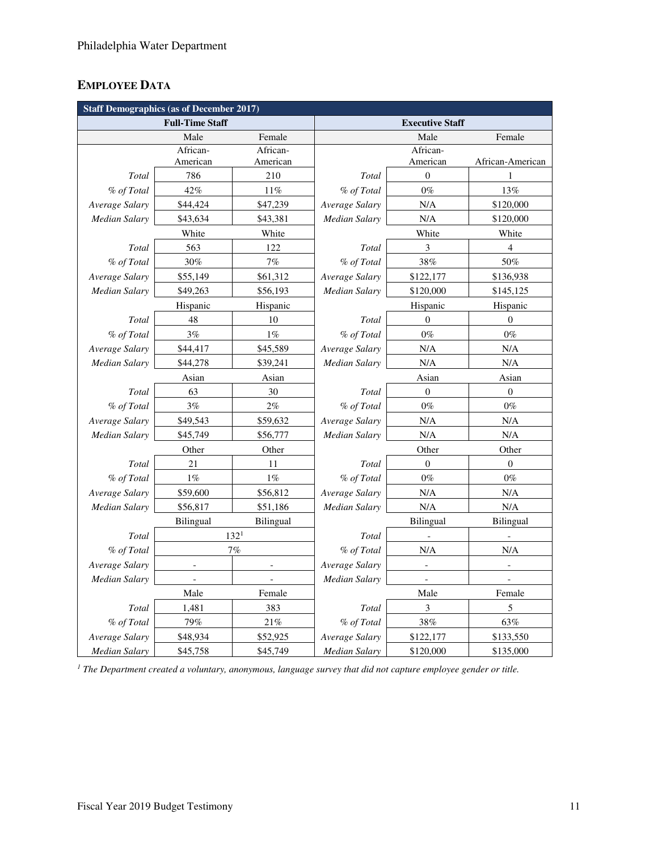# **EMPLOYEE DATA**

| <b>Staff Demographics (as of December 2017)</b> |                          |                              |                        |                             |                  |  |  |  |
|-------------------------------------------------|--------------------------|------------------------------|------------------------|-----------------------------|------------------|--|--|--|
|                                                 | <b>Full-Time Staff</b>   |                              | <b>Executive Staff</b> |                             |                  |  |  |  |
| Female<br>Male                                  |                          |                              |                        | Male<br>Female              |                  |  |  |  |
|                                                 | African-                 | African-                     |                        | African-                    |                  |  |  |  |
|                                                 | American                 | American                     |                        | American                    | African-American |  |  |  |
| Total                                           | 786                      | 210                          | Total                  | $\mathbf{0}$                | 1                |  |  |  |
| % of Total                                      | 42%                      | $11\%$                       | % of Total             | $0\%$                       | 13%              |  |  |  |
| Average Salary                                  | \$44,424                 | \$47,239                     | Average Salary         | N/A                         | \$120,000        |  |  |  |
| Median Salary                                   | \$43,634                 | \$43,381                     | <b>Median Salary</b>   | N/A                         | \$120,000        |  |  |  |
|                                                 | White                    | White                        |                        | White                       |                  |  |  |  |
| Total                                           | 563                      | 122                          | Total                  | 3                           | $\overline{4}$   |  |  |  |
| % of Total                                      | 30%                      | 7%                           | % of Total             | 38%                         | 50%              |  |  |  |
| Average Salary                                  | \$55,149                 | \$61,312                     | Average Salary         | \$122,177                   | \$136,938        |  |  |  |
| Median Salary                                   | \$49,263                 | \$56,193                     | Median Salary          | \$120,000                   | \$145,125        |  |  |  |
|                                                 | Hispanic                 | Hispanic                     |                        | Hispanic                    | Hispanic         |  |  |  |
| Total                                           | 48                       | 10                           | Total                  | $\mathbf{0}$                | $\theta$         |  |  |  |
| % of Total                                      | 3%                       | $1\%$                        | % of Total             | $0\%$                       | $0\%$            |  |  |  |
| Average Salary                                  | \$44,417                 | \$45,589                     | Average Salary         | N/A                         | N/A              |  |  |  |
| <b>Median Salary</b>                            | \$44,278                 | \$39,241                     | Median Salary          | N/A                         | N/A              |  |  |  |
|                                                 | Asian                    | Asian                        |                        | Asian                       | Asian            |  |  |  |
| Total                                           | 63                       | 30                           | Total                  | $\boldsymbol{0}$            | $\boldsymbol{0}$ |  |  |  |
| % of Total                                      | $3\%$                    | $2\%$                        | % of Total             | $0\%$                       | $0\%$            |  |  |  |
| Average Salary                                  | \$49,543                 | \$59,632                     | Average Salary         | N/A                         | N/A              |  |  |  |
| Median Salary                                   | \$45,749                 | \$56,777                     | Median Salary          | N/A                         | N/A              |  |  |  |
|                                                 | Other<br>Other           |                              | Other<br>Other         |                             |                  |  |  |  |
| Total                                           | 21                       | 11                           | Total                  | $\boldsymbol{0}$            | $\boldsymbol{0}$ |  |  |  |
| % of Total                                      | $1\%$                    | $1\%$                        | % of Total             | $0\%$                       | $0\%$            |  |  |  |
| Average Salary                                  | \$59,600                 | \$56,812                     | Average Salary         | N/A                         | N/A              |  |  |  |
| Median Salary                                   | \$56,817                 | \$51,186                     | Median Salary          | N/A                         | N/A              |  |  |  |
|                                                 | <b>Bilingual</b>         | <b>Bilingual</b>             |                        | <b>Bilingual</b>            | Bilingual        |  |  |  |
| Total                                           |                          | 132 <sup>1</sup>             | Total                  | $\overline{a}$              |                  |  |  |  |
| % of Total<br>7%                                |                          |                              | % of Total<br>N/A      |                             | N/A              |  |  |  |
| Average Salary                                  | $\overline{\phantom{a}}$ | $\qquad \qquad \blacksquare$ | Average Salary         | $\overline{\phantom{a}}$    | $\blacksquare$   |  |  |  |
| Median Salary                                   | $\overline{\phantom{0}}$ |                              | Median Salary          | $\blacksquare$              |                  |  |  |  |
|                                                 | Male                     | Female                       |                        | Male                        | Female           |  |  |  |
| Total                                           | 1,481                    | 383                          | Total                  | $\ensuremath{\mathfrak{Z}}$ | 5                |  |  |  |
| % of Total                                      | 79%                      | 21%                          | % of Total             | 38%                         | 63%              |  |  |  |
| Average Salary                                  | \$48,934                 | \$52,925                     | Average Salary         | \$122,177                   | \$133,550        |  |  |  |
| <b>Median Salary</b>                            | \$45,758                 | \$45,749                     | <b>Median Salary</b>   | \$120,000                   | \$135,000        |  |  |  |

<sup>1</sup> The Department created a voluntary, anonymous, language survey that did not capture employee gender or title.